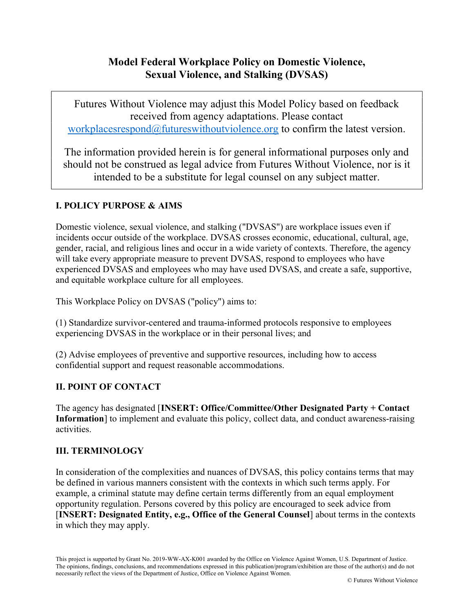# Model Federal Workplace Policy on Domestic Violence, Sexual Violence, and Stalking (DVSAS)

Futures Without Violence may adjust this Model Policy based on feedback received from agency adaptations. Please contact workplacesrespond $@$ futureswithoutviolence.org to confirm the latest version.

The information provided herein is for general informational purposes only and should not be construed as legal advice from Futures Without Violence, nor is it intended to be a substitute for legal counsel on any subject matter.

#### I. POLICY PURPOSE & AIMS

Domestic violence, sexual violence, and stalking ("DVSAS") are workplace issues even if incidents occur outside of the workplace. DVSAS crosses economic, educational, cultural, age, gender, racial, and religious lines and occur in a wide variety of contexts. Therefore, the agency will take every appropriate measure to prevent DVSAS, respond to employees who have experienced DVSAS and employees who may have used DVSAS, and create a safe, supportive, and equitable workplace culture for all employees.

This Workplace Policy on DVSAS ("policy") aims to:

(1) Standardize survivor-centered and trauma-informed protocols responsive to employees experiencing DVSAS in the workplace or in their personal lives; and

(2) Advise employees of preventive and supportive resources, including how to access confidential support and request reasonable accommodations.

#### II. POINT OF CONTACT

The agency has designated [INSERT: Office/Committee/Other Designated Party + Contact Information] to implement and evaluate this policy, collect data, and conduct awareness-raising activities.

#### III. TERMINOLOGY

In consideration of the complexities and nuances of DVSAS, this policy contains terms that may be defined in various manners consistent with the contexts in which such terms apply. For example, a criminal statute may define certain terms differently from an equal employment opportunity regulation. Persons covered by this policy are encouraged to seek advice from [INSERT: Designated Entity, e.g., Office of the General Counsel] about terms in the contexts in which they may apply.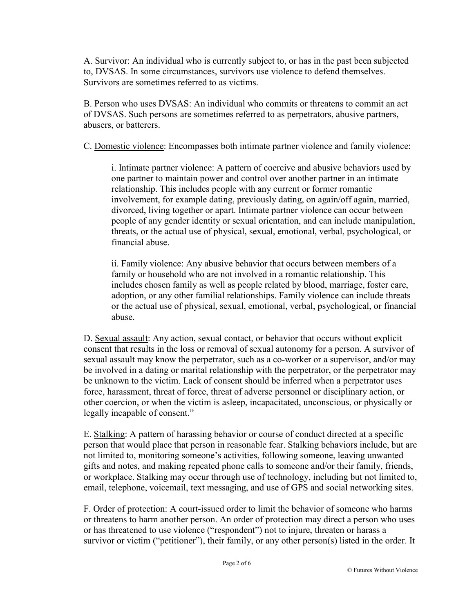A. Survivor: An individual who is currently subject to, or has in the past been subjected to, DVSAS. In some circumstances, survivors use violence to defend themselves. Survivors are sometimes referred to as victims.

B. Person who uses DVSAS: An individual who commits or threatens to commit an act of DVSAS. Such persons are sometimes referred to as perpetrators, abusive partners, abusers, or batterers.

C. Domestic violence: Encompasses both intimate partner violence and family violence:

i. Intimate partner violence: A pattern of coercive and abusive behaviors used by one partner to maintain power and control over another partner in an intimate relationship. This includes people with any current or former romantic involvement, for example dating, previously dating, on again/off again, married, divorced, living together or apart. Intimate partner violence can occur between people of any gender identity or sexual orientation, and can include manipulation, threats, or the actual use of physical, sexual, emotional, verbal, psychological, or financial abuse.

ii. Family violence: Any abusive behavior that occurs between members of a family or household who are not involved in a romantic relationship. This includes chosen family as well as people related by blood, marriage, foster care, adoption, or any other familial relationships. Family violence can include threats or the actual use of physical, sexual, emotional, verbal, psychological, or financial abuse.

D. Sexual assault: Any action, sexual contact, or behavior that occurs without explicit consent that results in the loss or removal of sexual autonomy for a person. A survivor of sexual assault may know the perpetrator, such as a co-worker or a supervisor, and/or may be involved in a dating or marital relationship with the perpetrator, or the perpetrator may be unknown to the victim. Lack of consent should be inferred when a perpetrator uses force, harassment, threat of force, threat of adverse personnel or disciplinary action, or other coercion, or when the victim is asleep, incapacitated, unconscious, or physically or legally incapable of consent."

E. Stalking: A pattern of harassing behavior or course of conduct directed at a specific person that would place that person in reasonable fear. Stalking behaviors include, but are not limited to, monitoring someone's activities, following someone, leaving unwanted gifts and notes, and making repeated phone calls to someone and/or their family, friends, or workplace. Stalking may occur through use of technology, including but not limited to, email, telephone, voicemail, text messaging, and use of GPS and social networking sites.

F. Order of protection: A court-issued order to limit the behavior of someone who harms or threatens to harm another person. An order of protection may direct a person who uses or has threatened to use violence ("respondent") not to injure, threaten or harass a survivor or victim ("petitioner"), their family, or any other person(s) listed in the order. It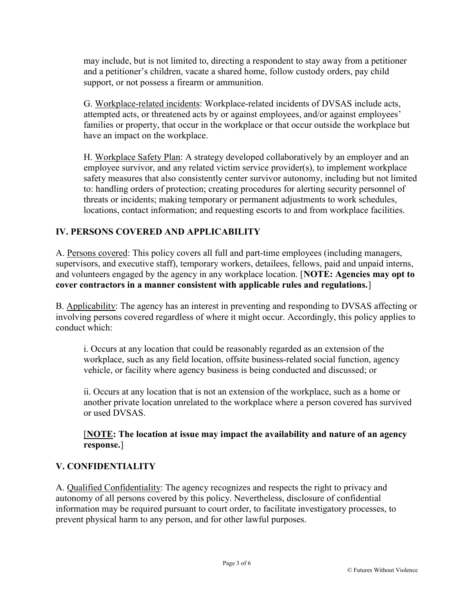may include, but is not limited to, directing a respondent to stay away from a petitioner and a petitioner's children, vacate a shared home, follow custody orders, pay child support, or not possess a firearm or ammunition.

G. Workplace-related incidents: Workplace-related incidents of DVSAS include acts, attempted acts, or threatened acts by or against employees, and/or against employees' families or property, that occur in the workplace or that occur outside the workplace but have an impact on the workplace.

H. Workplace Safety Plan: A strategy developed collaboratively by an employer and an employee survivor, and any related victim service provider(s), to implement workplace safety measures that also consistently center survivor autonomy, including but not limited to: handling orders of protection; creating procedures for alerting security personnel of threats or incidents; making temporary or permanent adjustments to work schedules, locations, contact information; and requesting escorts to and from workplace facilities.

### IV. PERSONS COVERED AND APPLICABILITY

A. Persons covered: This policy covers all full and part-time employees (including managers, supervisors, and executive staff), temporary workers, detailees, fellows, paid and unpaid interns, and volunteers engaged by the agency in any workplace location. [NOTE: Agencies may opt to cover contractors in a manner consistent with applicable rules and regulations.]

B. Applicability: The agency has an interest in preventing and responding to DVSAS affecting or involving persons covered regardless of where it might occur. Accordingly, this policy applies to conduct which:

i. Occurs at any location that could be reasonably regarded as an extension of the workplace, such as any field location, offsite business-related social function, agency vehicle, or facility where agency business is being conducted and discussed; or

ii. Occurs at any location that is not an extension of the workplace, such as a home or another private location unrelated to the workplace where a person covered has survived or used DVSAS.

[NOTE: The location at issue may impact the availability and nature of an agency response.]

#### V. CONFIDENTIALITY

A. Qualified Confidentiality: The agency recognizes and respects the right to privacy and autonomy of all persons covered by this policy. Nevertheless, disclosure of confidential information may be required pursuant to court order, to facilitate investigatory processes, to prevent physical harm to any person, and for other lawful purposes.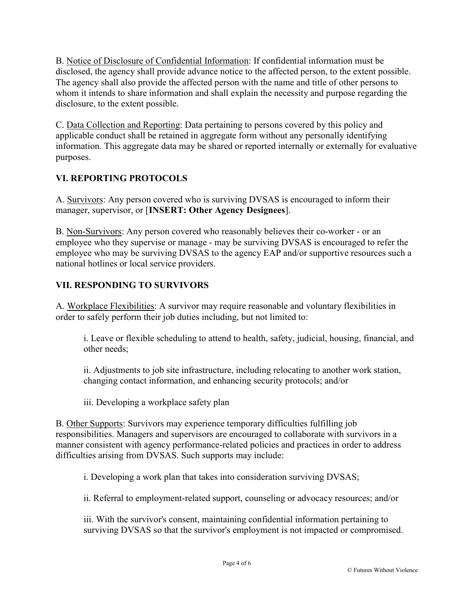B. Notice of Disclosure of Confidential Information: If confidential information must be disclosed, the agency shall provide advance notice to the affected person, to the extent possible. The agency shall also provide the affected person with the name and title of other persons to whom it intends to share information and shall explain the necessity and purpose regarding the disclosure, to the extent possible.

C. Data Collection and Reporting: Data pertaining to persons covered by this policy and applicable conduct shall be retained in aggregate form without any personally identifying information. This aggregate data may be shared or reported internally or externally for evaluative purposes.

## VI. REPORTING PROTOCOLS

A. Survivors: Any person covered who is surviving DVSAS is encouraged to inform their manager, supervisor, or [INSERT: Other Agency Designees].

B. Non-Survivors: Any person covered who reasonably believes their co-worker - or an employee who they supervise or manage - may be surviving DVSAS is encouraged to refer the employee who may be surviving DVSAS to the agency EAP and/or supportive resources such a national hotlines or local service providers.

## VII. RESPONDING TO SURVIVORS

A. Workplace Flexibilities: A survivor may require reasonable and voluntary flexibilities in order to safely perform their job duties including, but not limited to:

i. Leave or flexible scheduling to attend to health, safety, judicial, housing, financial, and other needs;

ii. Adjustments to job site infrastructure, including relocating to another work station, changing contact information, and enhancing security protocols; and/or

iii. Developing a workplace safety plan

B. Other Supports: Survivors may experience temporary difficulties fulfilling job responsibilities. Managers and supervisors are encouraged to collaborate with survivors in a manner consistent with agency performance-related policies and practices in order to address difficulties arising from DVSAS. Such supports may include:

i. Developing a work plan that takes into consideration surviving DVSAS;

ii. Referral to employment-related support, counseling or advocacy resources; and/or

iii. With the survivor's consent, maintaining confidential information pertaining to surviving DVSAS so that the survivor's employment is not impacted or compromised.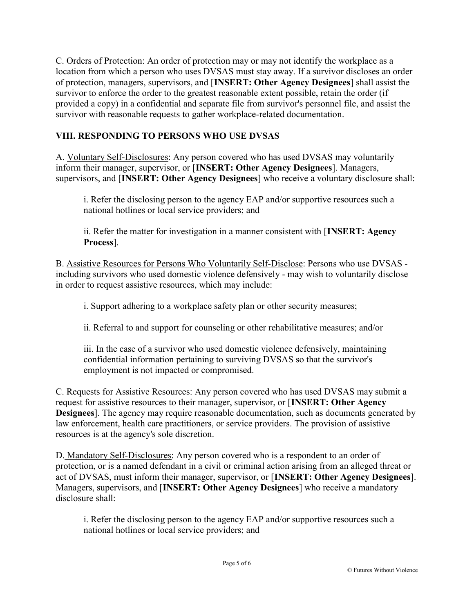C. Orders of Protection: An order of protection may or may not identify the workplace as a location from which a person who uses DVSAS must stay away. If a survivor discloses an order of protection, managers, supervisors, and [INSERT: Other Agency Designees] shall assist the survivor to enforce the order to the greatest reasonable extent possible, retain the order (if provided a copy) in a confidential and separate file from survivor's personnel file, and assist the survivor with reasonable requests to gather workplace-related documentation.

### VIII. RESPONDING TO PERSONS WHO USE DVSAS

A. Voluntary Self-Disclosures: Any person covered who has used DVSAS may voluntarily inform their manager, supervisor, or [INSERT: Other Agency Designees]. Managers, supervisors, and [INSERT: Other Agency Designees] who receive a voluntary disclosure shall:

i. Refer the disclosing person to the agency EAP and/or supportive resources such a national hotlines or local service providers; and

ii. Refer the matter for investigation in a manner consistent with [INSERT: Agency Process].

B. Assistive Resources for Persons Who Voluntarily Self-Disclose: Persons who use DVSAS including survivors who used domestic violence defensively - may wish to voluntarily disclose in order to request assistive resources, which may include:

i. Support adhering to a workplace safety plan or other security measures;

ii. Referral to and support for counseling or other rehabilitative measures; and/or

iii. In the case of a survivor who used domestic violence defensively, maintaining confidential information pertaining to surviving DVSAS so that the survivor's employment is not impacted or compromised.

C. Requests for Assistive Resources: Any person covered who has used DVSAS may submit a request for assistive resources to their manager, supervisor, or [INSERT: Other Agency Designees]. The agency may require reasonable documentation, such as documents generated by law enforcement, health care practitioners, or service providers. The provision of assistive resources is at the agency's sole discretion.

D. Mandatory Self-Disclosures: Any person covered who is a respondent to an order of protection, or is a named defendant in a civil or criminal action arising from an alleged threat or act of DVSAS, must inform their manager, supervisor, or [INSERT: Other Agency Designees]. Managers, supervisors, and [INSERT: Other Agency Designees] who receive a mandatory disclosure shall:

i. Refer the disclosing person to the agency EAP and/or supportive resources such a national hotlines or local service providers; and